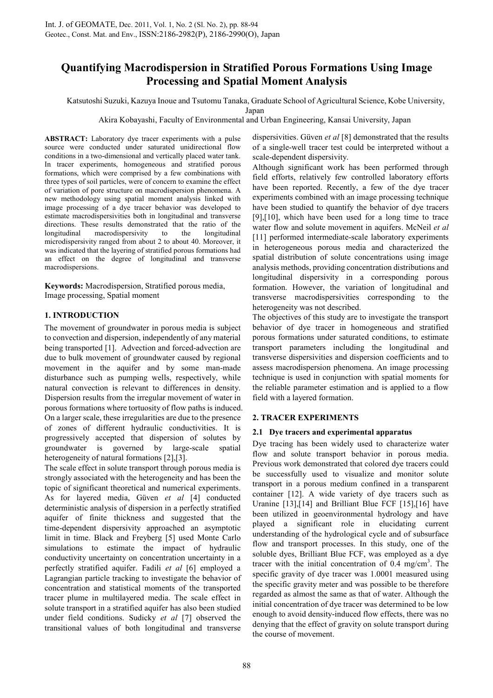# **Quantifying Macrodispersion in Stratified Porous Formations Using Image Processing and Spatial Moment Analysis**

Katsutoshi Suzuki, Kazuya Inoue and Tsutomu Tanaka, Graduate School of Agricultural Science, Kobe University,

Japan

Akira Kobayashi, Faculty of Environmental and Urban Engineering, Kansai University, Japan

**ABSTRACT:** Laboratory dye tracer experiments with a pulse source were conducted under saturated unidirectional flow conditions in a two-dimensional and vertically placed water tank. In tracer experiments, homogeneous and stratified porous formations, which were comprised by a few combinations with three types of soil particles, were of concern to examine the effect of variation of pore structure on macrodispersion phenomena. A new methodology using spatial moment analysis linked with image processing of a dye tracer behavior was developed to estimate macrodispersivities both in longitudinal and transverse directions. These results demonstrated that the ratio of the longitudinal macrodispersivity to the longitudinal microdispersivity ranged from about 2 to about 40. Moreover, it was indicated that the layering of stratified porous formations had an effect on the degree of longitudinal and transverse macrodispersions.

**Keywords:** Macrodispersion, Stratified porous media, Image processing, Spatial moment

## **1. INTRODUCTION**

The movement of groundwater in porous media is subject to convection and dispersion, independently of any material being transported [1]. Advection and forced-advection are due to bulk movement of groundwater caused by regional movement in the aquifer and by some man-made disturbance such as pumping wells, respectively, while natural convection is relevant to differences in density. Dispersion results from the irregular movement of water in porous formations where tortuosity of flow paths is induced. On a larger scale, these irregularities are due to the presence of zones of different hydraulic conductivities. It is progressively accepted that dispersion of solutes by groundwater is governed by large-scale spatial heterogeneity of natural formations [2],[3].

The scale effect in solute transport through porous media is strongly associated with the heterogeneity and has been the topic of significant theoretical and numerical experiments. As for layered media, Güven *et al* [4] conducted deterministic analysis of dispersion in a perfectly stratified aquifer of finite thickness and suggested that the time-dependent dispersivity approached an asymptotic limit in time. Black and Freyberg [5] used Monte Carlo simulations to estimate the impact of hydraulic conductivity uncertainty on concentration uncertainty in a perfectly stratified aquifer. Fadili *et al* [6] employed a Lagrangian particle tracking to investigate the behavior of concentration and statistical moments of the transported tracer plume in multilayered media. The scale effect in solute transport in a stratified aquifer has also been studied under field conditions. Sudicky *et al* [7] observed the transitional values of both longitudinal and transverse

dispersivities. Güven *et al* [8] demonstrated that the results of a single-well tracer test could be interpreted without a scale-dependent dispersivity.

Although significant work has been performed through field efforts, relatively few controlled laboratory efforts have been reported. Recently, a few of the dye tracer experiments combined with an image processing technique have been studied to quantify the behavior of dye tracers [9],[10], which have been used for a long time to trace water flow and solute movement in aquifers. McNeil *et al* [11] performed intermediate-scale laboratory experiments in heterogeneous porous media and characterized the spatial distribution of solute concentrations using image analysis methods, providing concentration distributions and longitudinal dispersivity in a corresponding porous formation. However, the variation of longitudinal and transverse macrodispersivities corresponding to the heterogeneity was not described.

The objectives of this study are to investigate the transport behavior of dye tracer in homogeneous and stratified porous formations under saturated conditions, to estimate transport parameters including the longitudinal and transverse dispersivities and dispersion coefficients and to assess macrodispersion phenomena. An image processing technique is used in conjunction with spatial moments for the reliable parameter estimation and is applied to a flow field with a layered formation.

## **2. TRACER EXPERIMENTS**

## **2.1 Dye tracers and experimental apparatus**

Dye tracing has been widely used to characterize water flow and solute transport behavior in porous media. Previous work demonstrated that colored dye tracers could be successfully used to visualize and monitor solute transport in a porous medium confined in a transparent container [12]. A wide variety of dye tracers such as Uranine [13],[14] and Brilliant Blue FCF [15],[16] have been utilized in geoenvironmental hydrology and have played a significant role in elucidating current understanding of the hydrological cycle and of subsurface flow and transport processes. In this study, one of the soluble dyes, Brilliant Blue FCF, was employed as a dye tracer with the initial concentration of  $0.4 \text{ mg/cm}^3$ . The specific gravity of dye tracer was 1.0001 measured using the specific gravity meter and was possible to be therefore regarded as almost the same as that of water. Although the initial concentration of dye tracer was determined to be low enough to avoid density-induced flow effects, there was no denying that the effect of gravity on solute transport during the course of movement.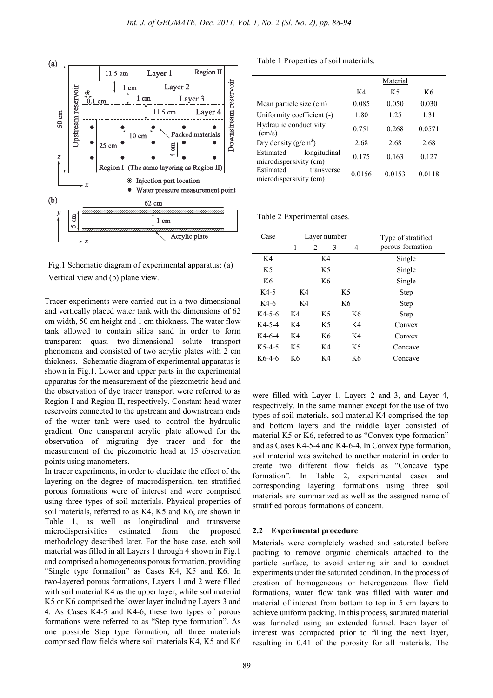

Fig.1 Schematic diagram of experimental apparatus: (a) Vertical view and (b) plane view.

Tracer experiments were carried out in a two-dimensional and vertically placed water tank with the dimensions of 62 cm width, 50 cm height and 1 cm thickness. The water flow tank allowed to contain silica sand in order to form transparent quasi two-dimensional solute transport phenomena and consisted of two acrylic plates with 2 cm thickness. Schematic diagram of experimental apparatus is shown in Fig.1. Lower and upper parts in the experimental apparatus for the measurement of the piezometric head and the observation of dye tracer transport were referred to as Region I and Region II, respectively. Constant head water reservoirs connected to the upstream and downstream ends of the water tank were used to control the hydraulic gradient. One transparent acrylic plate allowed for the observation of migrating dye tracer and for the measurement of the piezometric head at 15 observation points using manometers.

In tracer experiments, in order to elucidate the effect of the layering on the degree of macrodispersion, ten stratified porous formations were of interest and were comprised using three types of soil materials. Physical properties of soil materials, referred to as K4, K5 and K6, are shown in Table 1, as well as longitudinal and transverse microdispersivities estimated from the proposed methodology described later. For the base case, each soil material was filled in all Layers 1 through 4 shown in Fig.1 and comprised a homogeneous porous formation, providing "Single type formation" as Cases K4, K5 and K6. In two-layered porous formations, Layers 1 and 2 were filled with soil material K4 as the upper layer, while soil material K5 or K6 comprised the lower layer including Layers 3 and 4. As Cases K4-5 and K4-6, these two types of porous formations were referred to as "Step type formation". As one possible Step type formation, all three materials comprised flow fields where soil materials K4, K5 and K6

Table 1 Properties of soil materials.

|                                                     | Material |        |        |
|-----------------------------------------------------|----------|--------|--------|
|                                                     | K4       | K5     | K6     |
| Mean particle size (cm)                             | 0.085    | 0.050  | 0.030  |
| Uniformity coefficient (-)                          | 1.80     | 1 25   | 1.31   |
| Hydraulic conductivity<br>$\text{(cm/s)}$           | 0.751    | 0.268  | 0.0571 |
| Dry density $(g/cm^3)$                              | 2.68     | 2.68   | 2.68   |
| Estimated<br>longitudinal<br>microdispersivity (cm) | 0.175    | 0.163  | 0.127  |
| Estimated<br>transverse<br>microdispersivity (cm)   | 0.0156   | 0.0153 | 0.0118 |

Table 2 Experimental cases.

| Case           | Layer number |    |                | Type of stratified |
|----------------|--------------|----|----------------|--------------------|
|                | 1            | 2  | 3<br>4         | porous formation   |
| K4             |              | K4 |                | Single             |
| K <sub>5</sub> | K5           |    |                | Single             |
| K6             |              | K6 |                | Single             |
| $K4-5$         | K4           |    | K <sub>5</sub> | <b>Step</b>        |
| K4-6           | K4           |    | K6             | <b>Step</b>        |
| $K4-5-6$       | K4           | K5 | K6             | <b>Step</b>        |
| $K4-5-4$       | K4           | K5 | K4             | Convex             |
| $K4-6-4$       | K4           | K6 | K4             | Convex             |
| $K5-4-5$       | K5           | K4 | K5             | Concave            |
| $K6-4-6$       | K6           | K4 | K6             | Concave            |

were filled with Layer 1, Layers 2 and 3, and Layer 4, respectively. In the same manner except for the use of two types of soil materials, soil material K4 comprised the top and bottom layers and the middle layer consisted of material K5 or K6, referred to as "Convex type formation" and as Cases K4-5-4 and K4-6-4. In Convex type formation, soil material was switched to another material in order to create two different flow fields as "Concave type formation". In Table 2, experimental cases and corresponding layering formations using three soil materials are summarized as well as the assigned name of stratified porous formations of concern.

#### **2.2 Experimental procedure**

Materials were completely washed and saturated before packing to remove organic chemicals attached to the particle surface, to avoid entering air and to conduct experiments under the saturated condition. In the process of creation of homogeneous or heterogeneous flow field formations, water flow tank was filled with water and material of interest from bottom to top in 5 cm layers to achieve uniform packing. In this process, saturated material was funneled using an extended funnel. Each layer of interest was compacted prior to filling the next layer, resulting in 0.41 of the porosity for all materials. The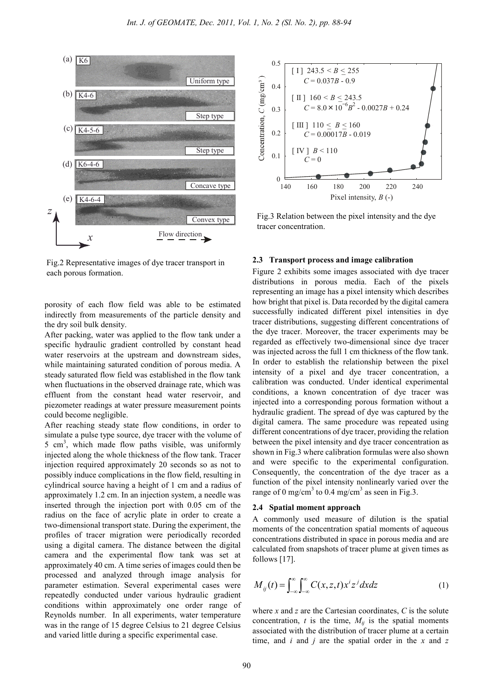

Fig.2 Representative images of dye tracer transport in each porous formation.

porosity of each flow field was able to be estimated indirectly from measurements of the particle density and the dry soil bulk density.

After packing, water was applied to the flow tank under a specific hydraulic gradient controlled by constant head water reservoirs at the upstream and downstream sides, while maintaining saturated condition of porous media. A steady saturated flow field was established in the flow tank when fluctuations in the observed drainage rate, which was effluent from the constant head water reservoir, and piezometer readings at water pressure measurement points could become negligible.

After reaching steady state flow conditions, in order to simulate a pulse type source, dye tracer with the volume of 5 cm<sup>3</sup>, which made flow paths visible, was uniformly injected along the whole thickness of the flow tank. Tracer injection required approximately 20 seconds so as not to possibly induce complications in the flow field, resulting in cylindrical source having a height of 1 cm and a radius of approximately 1.2 cm. In an injection system, a needle was inserted through the injection port with 0.05 cm of the radius on the face of acrylic plate in order to create a two-dimensional transport state. During the experiment, the profiles of tracer migration were periodically recorded using a digital camera. The distance between the digital camera and the experimental flow tank was set at approximately 40 cm. A time series of images could then be processed and analyzed through image analysis for parameter estimation. Several experimental cases were repeatedly conducted under various hydraulic gradient conditions within approximately one order range of Reynolds number. In all experiments, water temperature was in the range of 15 degree Celsius to 21 degree Celsius and varied little during a specific experimental case.

![](_page_2_Figure_6.jpeg)

Fig.3 Relation between the pixel intensity and the dye tracer concentration.

#### **2.3 Transport process and image calibration**

Figure 2 exhibits some images associated with dye tracer distributions in porous media. Each of the pixels representing an image has a pixel intensity which describes how bright that pixel is. Data recorded by the digital camera successfully indicated different pixel intensities in dye tracer distributions, suggesting different concentrations of the dye tracer. Moreover, the tracer experiments may be regarded as effectively two-dimensional since dye tracer was injected across the full 1 cm thickness of the flow tank. In order to establish the relationship between the pixel intensity of a pixel and dye tracer concentration, a calibration was conducted. Under identical experimental conditions, a known concentration of dye tracer was injected into a corresponding porous formation without a hydraulic gradient. The spread of dye was captured by the digital camera. The same procedure was repeated using different concentrations of dye tracer, providing the relation between the pixel intensity and dye tracer concentration as shown in Fig.3 where calibration formulas were also shown and were specific to the experimental configuration. Consequently, the concentration of the dye tracer as a function of the pixel intensity nonlinearly varied over the range of 0 mg/cm<sup>3</sup> to 0.4 mg/cm<sup>3</sup> as seen in Fig.3.

#### **2.4 Spatial moment approach**

A commonly used measure of dilution is the spatial moments of the concentration spatial moments of aqueous concentrations distributed in space in porous media and are calculated from snapshots of tracer plume at given times as follows [17].

$$
M_{ij}(t) = \int_{-\infty}^{\infty} \int_{-\infty}^{\infty} C(x, z, t) x^{i} z^{j} dx dz
$$
 (1)

where *x* and *z* are the Cartesian coordinates, *C* is the solute concentration,  $t$  is the time,  $M_{ii}$  is the spatial moments associated with the distribution of tracer plume at a certain time, and *i* and *j* are the spatial order in the *x* and *z*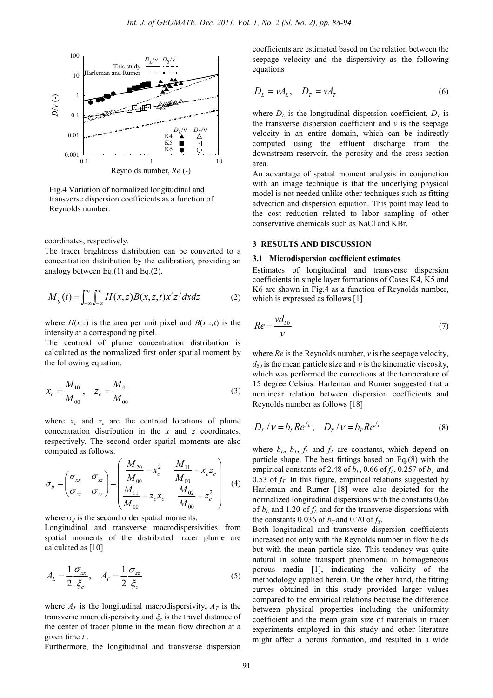![](_page_3_Figure_1.jpeg)

Fig.4 Variation of normalized longitudinal and transverse dispersion coefficients as a function of Reynolds number.

coordinates, respectively.

The tracer brightness distribution can be converted to a concentration distribution by the calibration, providing an analogy between Eq.(1) and Eq.(2).

$$
M_{ij}(t) = \int_{-\infty}^{\infty} \int_{-\infty}^{\infty} H(x, z) B(x, z, t) x^{i} z^{j} dx dz
$$
 (2)

where  $H(x,z)$  is the area per unit pixel and  $B(x,z,t)$  is the intensity at a corresponding pixel.

The centroid of plume concentration distribution is calculated as the normalized first order spatial moment by the following equation.

$$
x_c = \frac{M_{10}}{M_{00}}, \quad z_c = \frac{M_{01}}{M_{00}} \tag{3}
$$

where  $x_c$  and  $z_c$  are the centroid locations of plume concentration distribution in the *x* and *z* coordinates, respectively. The second order spatial moments are also computed as follows.

$$
\sigma_{ij} = \begin{pmatrix} \sigma_{xx} & \sigma_{xz} \\ \sigma_{zx} & \sigma_{zz} \end{pmatrix} = \begin{pmatrix} \frac{M_{20}}{M_{00}} - x_c^2 & \frac{M_{11}}{M_{00}} - x_c z_c \\ \frac{M_{11}}{M_{00}} - z_c x_c & \frac{M_{02}}{M_{00}} - z_c^2 \end{pmatrix}
$$
(4)

where  $\sigma_{ij}$  is the second order spatial moments.

Longitudinal and transverse macrodispersivities from spatial moments of the distributed tracer plume are calculated as [10]

$$
A_L = \frac{1}{2} \frac{\sigma_{xx}}{\xi_c}, \quad A_T = \frac{1}{2} \frac{\sigma_{zz}}{\xi_c}
$$
 (5)

where  $A_L$  is the longitudinal macrodispersivity,  $A_T$  is the transverse macrodispersivity and  $\xi_c$  is the travel distance of the center of tracer plume in the mean flow direction at a given time *t* .

Furthermore, the longitudinal and transverse dispersion

coefficients are estimated based on the relation between the seepage velocity and the dispersivity as the following equations

$$
D_L = vA_L, \quad D_T = vA_T \tag{6}
$$

where  $D_L$  is the longitudinal dispersion coefficient,  $D_T$  is the transverse dispersion coefficient and *v* is the seepage velocity in an entire domain, which can be indirectly computed using the effluent discharge from the downstream reservoir, the porosity and the cross-section area.

An advantage of spatial moment analysis in conjunction with an image technique is that the underlying physical model is not needed unlike other techniques such as fitting advection and dispersion equation. This point may lead to the cost reduction related to labor sampling of other conservative chemicals such as NaCl and KBr.

#### **3 RESULTS AND DISCUSSION**

#### **3.1 Microdispersion coefficient estimates**

Estimates of longitudinal and transverse dispersion coefficients in single layer formations of Cases K4, K5 and K6 are shown in Fig.4 as a function of Reynolds number, which is expressed as follows [1]

$$
Re = \frac{vd_{50}}{V} \tag{7}
$$

where *Re* is the Reynolds number, *v* is the seepage velocity,  $d_{50}$  is the mean particle size and  $\nu$  is the kinematic viscosity, which was performed the corrections at the temperature of 15 degree Celsius. Harleman and Rumer suggested that a nonlinear relation between dispersion coefficients and Reynolds number as follows [18]

$$
D_L / \nu = b_L R e^{f_L}, \quad D_T / \nu = b_T R e^{f_T}
$$
 (8)

where  $b_L$ ,  $b_T$ ,  $f_L$  and  $f_T$  are constants, which depend on particle shape. The best fittings based on Eq.(8) with the empirical constants of 2.48 of  $b<sub>L</sub>$ , 0.66 of  $f<sub>L</sub>$ , 0.257 of  $b<sub>T</sub>$  and 0.53 of  $f<sub>T</sub>$ . In this figure, empirical relations suggested by Harleman and Rumer [18] were also depicted for the normalized longitudinal dispersions with the constants 0.66 of  $b_L$  and 1.20 of  $f_L$  and for the transverse dispersions with the constants 0.036 of  $b_T$  and 0.70 of  $f_T$ .

Both longitudinal and transverse dispersion coefficients increased not only with the Reynolds number in flow fields but with the mean particle size. This tendency was quite natural in solute transport phenomena in homogeneous porous media [1], indicating the validity of the methodology applied herein. On the other hand, the fitting curves obtained in this study provided larger values compared to the empirical relations because the difference between physical properties including the uniformity coefficient and the mean grain size of materials in tracer experiments employed in this study and other literature might affect a porous formation, and resulted in a wide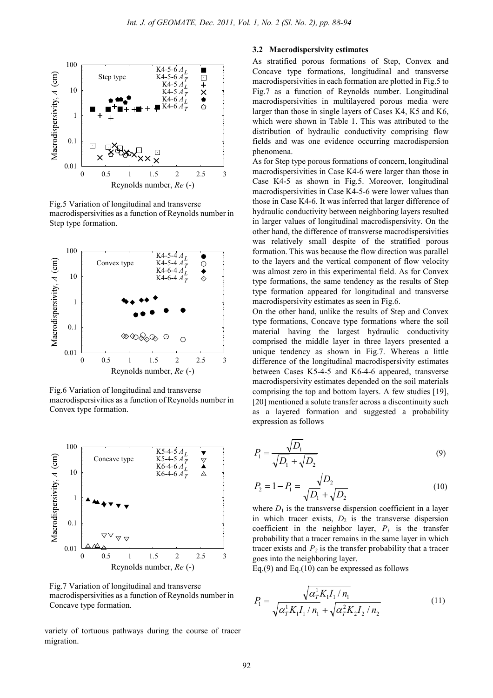![](_page_4_Figure_1.jpeg)

Fig.5 Variation of longitudinal and transverse macrodispersivities as a function of Reynolds number in Step type formation.

![](_page_4_Figure_3.jpeg)

Fig.6 Variation of longitudinal and transverse macrodispersivities as a function of Reynolds number in Convex type formation.

![](_page_4_Figure_5.jpeg)

Fig.7 Variation of longitudinal and transverse macrodispersivities as a function of Reynolds number in Concave type formation.

variety of tortuous pathways during the course of tracer migration.

### **3.2 Macrodispersivity estimates**

As stratified porous formations of Step, Convex and Concave type formations, longitudinal and transverse macrodispersivities in each formation are plotted in Fig.5 to Fig.7 as a function of Reynolds number. Longitudinal macrodispersivities in multilayered porous media were larger than those in single layers of Cases K4, K5 and K6, which were shown in Table 1. This was attributed to the distribution of hydraulic conductivity comprising flow fields and was one evidence occurring macrodispersion phenomena.

As for Step type porous formations of concern, longitudinal macrodispersivities in Case K4-6 were larger than those in Case K4-5 as shown in Fig.5. Moreover, longitudinal macrodispersivities in Case K4-5-6 were lower values than those in Case K4-6. It was inferred that larger difference of hydraulic conductivity between neighboring layers resulted in larger values of longitudinal macrodispersivity. On the other hand, the difference of transverse macrodispersivities was relatively small despite of the stratified porous formation. This was because the flow direction was parallel to the layers and the vertical component of flow velocity was almost zero in this experimental field. As for Convex type formations, the same tendency as the results of Step type formation appeared for longitudinal and transverse macrodispersivity estimates as seen in Fig.6.

On the other hand, unlike the results of Step and Convex type formations, Concave type formations where the soil material having the largest hydraulic conductivity comprised the middle layer in three layers presented a unique tendency as shown in Fig.7. Whereas a little difference of the longitudinal macrodispersivity estimates between Cases K5-4-5 and K6-4-6 appeared, transverse macrodispersivity estimates depended on the soil materials comprising the top and bottom layers. A few studies [19], [20] mentioned a solute transfer across a discontinuity such as a layered formation and suggested a probability expression as follows

$$
P_1 = \frac{\sqrt{D_1}}{\sqrt{D_1} + \sqrt{D_2}}
$$
\n(9)

$$
P_2 = 1 - P_1 = \frac{\sqrt{D_2}}{\sqrt{D_1} + \sqrt{D_2}}
$$
\n(10)

where  $D_1$  is the transverse dispersion coefficient in a layer in which tracer exists,  $D_2$  is the transverse dispersion coefficient in the neighbor layer,  $P_I$  is the transfer probability that a tracer remains in the same layer in which tracer exists and  $P_2$  is the transfer probability that a tracer goes into the neighboring layer.

Eq.(9) and Eq.(10) can be expressed as follows

$$
P_1 = \frac{\sqrt{\alpha_T^1 K_1 I_1 / n_1}}{\sqrt{\alpha_T^1 K_1 I_1 / n_1} + \sqrt{\alpha_T^2 K_2 I_2 / n_2}}
$$
(11)

*P*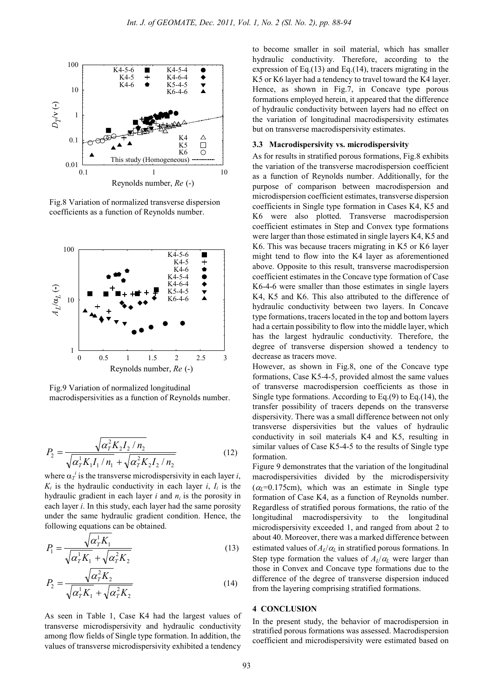![](_page_5_Figure_1.jpeg)

Fig.8 Variation of normalized transverse dispersion coefficients as a function of Reynolds number.

![](_page_5_Figure_3.jpeg)

Fig.9 Variation of normalized longitudinal macrodispersivities as a function of Reynolds number.

$$
P_2 = \frac{\sqrt{\alpha_T^2 K_2 I_2 / n_2}}{\sqrt{\alpha_T^1 K_1 I_1 / n_1} + \sqrt{\alpha_T^2 K_2 I_2 / n_2}}
$$
(12)

where  $\alpha_T^i$  is the transverse microdispersivity in each layer *i*,  $K_i$  is the hydraulic conductivity in each layer *i*,  $I_i$  is the hydraulic gradient in each layer  $i$  and  $n_i$  is the porosity in each layer *i*. In this study, each layer had the same porosity under the same hydraulic gradient condition. Hence, the following equations can be obtained.

$$
P_1 = \frac{\sqrt{\alpha_T^1 K_1}}{\sqrt{\alpha_T^1 K_1} + \sqrt{\alpha_T^2 K_2}}
$$
(13)

$$
P_2 = \frac{\sqrt{\alpha_T^2 K_2}}{\sqrt{\alpha_T^1 K_1} + \sqrt{\alpha_T^2 K_2}}
$$
(14)

As seen in Table 1, Case K4 had the largest values of transverse microdispersivity and hydraulic conductivity among flow fields of Single type formation. In addition, the values of transverse microdispersivity exhibited a tendency

to become smaller in soil material, which has smaller hydraulic conductivity. Therefore, according to the expression of  $Eq.(13)$  and  $Eq.(14)$ , tracers migrating in the K5 or K6 layer had a tendency to travel toward the K4 layer. Hence, as shown in Fig.7, in Concave type porous formations employed herein, it appeared that the difference of hydraulic conductivity between layers had no effect on the variation of longitudinal macrodispersivity estimates but on transverse macrodispersivity estimates.

#### **3.3 Macrodispersivity vs. microdispersivity**

As for results in stratified porous formations, Fig.8 exhibits the variation of the transverse macrodispersion coefficient as a function of Reynolds number. Additionally, for the purpose of comparison between macrodispersion and microdispersion coefficient estimates, transverse dispersion coefficients in Single type formation in Cases K4, K5 and K6 were also plotted. Transverse macrodispersion coefficient estimates in Step and Convex type formations were larger than those estimated in single layers K4, K5 and K6. This was because tracers migrating in K5 or K6 layer might tend to flow into the K4 layer as aforementioned above. Opposite to this result, transverse macrodispersion coefficient estimates in the Concave type formation of Case K6-4-6 were smaller than those estimates in single layers K4, K5 and K6. This also attributed to the difference of hydraulic conductivity between two layers. In Concave type formations, tracers located in the top and bottom layers had a certain possibility to flow into the middle layer, which has the largest hydraulic conductivity. Therefore, the degree of transverse dispersion showed a tendency to decrease as tracers move.

However, as shown in Fig.8, one of the Concave type formations, Case K5-4-5, provided almost the same values of transverse macrodispersion coefficients as those in Single type formations. According to Eq.(9) to Eq.(14), the transfer possibility of tracers depends on the transverse dispersivity. There was a small difference between not only transverse dispersivities but the values of hydraulic conductivity in soil materials K4 and K5, resulting in similar values of Case K5-4-5 to the results of Single type formation.

Figure 9 demonstrates that the variation of the longitudinal macrodispersivities divided by the microdispersivity  $(\alpha_l=0.175cm)$ , which was an estimate in Single type formation of Case K4, as a function of Reynolds number. Regardless of stratified porous formations, the ratio of the longitudinal macrodispersivity to the longitudinal microdispersivity exceeded 1, and ranged from about 2 to about 40. Moreover, there was a marked difference between estimated values of  $A_L/\alpha_L$  in stratified porous formations. In Step type formation the values of  $A_I/\alpha_I$  were larger than those in Convex and Concave type formations due to the difference of the degree of transverse dispersion induced from the layering comprising stratified formations.

#### **4 CONCLUSION**

In the present study, the behavior of macrodispersion in stratified porous formations was assessed. Macrodispersion coefficient and microdispersivity were estimated based on